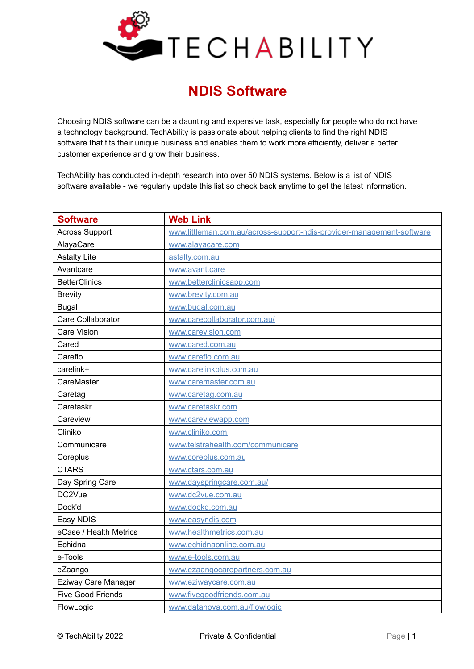

## **NDIS Software**

Choosing NDIS software can be a daunting and expensive task, especially for people who do not have a technology background. TechAbility is passionate about helping clients to find the right NDIS software that fits their unique business and enables them to work more efficiently, deliver a better customer experience and grow their business.

TechAbility has conducted in-depth research into over 50 NDIS systems. Below is a list of NDIS software available - we regularly update this list so check back anytime to get the latest information.

| <b>Software</b>          | <b>Web Link</b>                                                       |
|--------------------------|-----------------------------------------------------------------------|
| <b>Across Support</b>    | www.littleman.com.au/across-support-ndis-provider-management-software |
| AlayaCare                | www.alayacare.com                                                     |
| <b>Astalty Lite</b>      | astaltv.com.au                                                        |
| Avantcare                | www.avant.care                                                        |
| <b>BetterClinics</b>     | www.betterclinicsapp.com                                              |
| <b>Brevity</b>           | www.brevity.com.au                                                    |
| <b>Bugal</b>             | www.bugal.com.au                                                      |
| Care Collaborator        | www.carecollaborator.com.au/                                          |
| <b>Care Vision</b>       | www.carevision.com                                                    |
| Cared                    | www.cared.com.au                                                      |
| Careflo                  | www.careflo.com.au                                                    |
| carelink+                | www.carelinkplus.com.au                                               |
| CareMaster               | www.caremaster.com.au                                                 |
| Caretag                  | www.caretag.com.au                                                    |
| Caretaskr                | www.caretaskr.com                                                     |
| Careview                 | www.careviewapp.com                                                   |
| Cliniko                  | www.cliniko.com                                                       |
| Communicare              | www.telstrahealth.com/communicare                                     |
| Coreplus                 | www.coreplus.com.au                                                   |
| <b>CTARS</b>             | www.ctars.com.au                                                      |
| Day Spring Care          | www.dayspringcare.com.au/                                             |
| DC2Vue                   | www.dc2vue.com.au                                                     |
| Dock'd                   | www.dockd.com.au                                                      |
| Easy NDIS                | www.easyndis.com                                                      |
| eCase / Health Metrics   | www.healthmetrics.com.au                                              |
| Echidna                  | www.echidnaonline.com.au                                              |
| e-Tools                  | www.e-tools.com.au                                                    |
| eZaango                  | www.ezaangocarepartners.com.au                                        |
| Eziway Care Manager      | www.eziwaycare.com.au                                                 |
| <b>Five Good Friends</b> | www.fivegoodfriends.com.au                                            |
| FlowLogic                | www.datanova.com.au/flowlogic                                         |